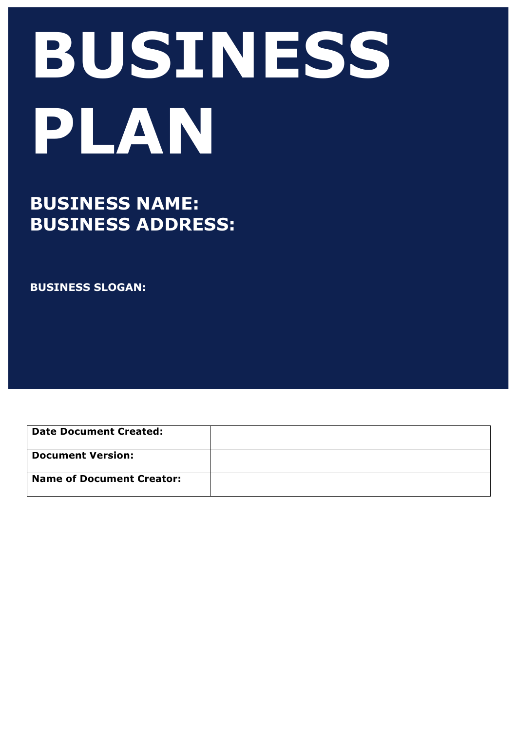# **BUSINESS PLAN**

# **BUSINESS NAME: BUSINESS ADDRESS:**

**BUSINESS SLOGAN:**

**Date Document Created: Document Version: Name of Document Creator:**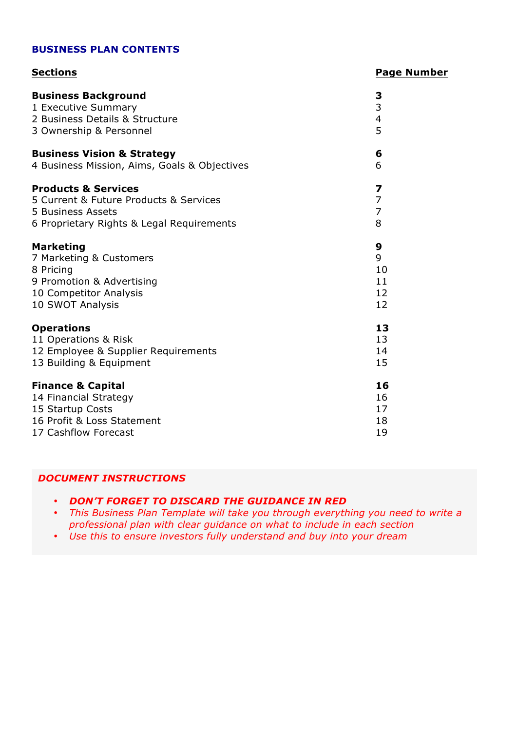#### **BUSINESS PLAN CONTENTS**

#### **Sections Page Number**

| <b>Business Background</b><br>1 Executive Summary<br>2 Business Details & Structure<br>3 Ownership & Personnel | 3<br>$\frac{3}{4}$<br>5 |
|----------------------------------------------------------------------------------------------------------------|-------------------------|
| <b>Business Vision &amp; Strategy</b>                                                                          | 6                       |
| 4 Business Mission, Aims, Goals & Objectives                                                                   | 6                       |
| <b>Products &amp; Services</b>                                                                                 | $\overline{\mathbf{z}}$ |
| 5 Current & Future Products & Services                                                                         | $\overline{7}$          |
| 5 Business Assets                                                                                              | $\overline{7}$          |
| 6 Proprietary Rights & Legal Requirements                                                                      | 8                       |
| <b>Marketing</b>                                                                                               | 9                       |
| 7 Marketing & Customers                                                                                        | 9                       |
| 8 Pricing                                                                                                      | 10                      |
| 9 Promotion & Advertising                                                                                      | 11                      |
| 10 Competitor Analysis                                                                                         | 12                      |
| 10 SWOT Analysis                                                                                               | 12                      |
| <b>Operations</b>                                                                                              | 13                      |
| 11 Operations & Risk                                                                                           | 13                      |
| 12 Employee & Supplier Requirements                                                                            | 14                      |
| 13 Building & Equipment                                                                                        | 15                      |
| <b>Finance &amp; Capital</b>                                                                                   | 16                      |
| 14 Financial Strategy                                                                                          | 16                      |
| 15 Startup Costs                                                                                               | 17                      |
| 16 Profit & Loss Statement                                                                                     | 18                      |
| 17 Cashflow Forecast                                                                                           | 19                      |

#### *DOCUMENT INSTRUCTIONS*

#### • *DON'T FORGET TO DISCARD THE GUIDANCE IN RED*

• *This Business Plan Template will take you through everything you need to write a professional plan with clear guidance on what to include in each section*

• *Use this to ensure investors fully understand and buy into your dream*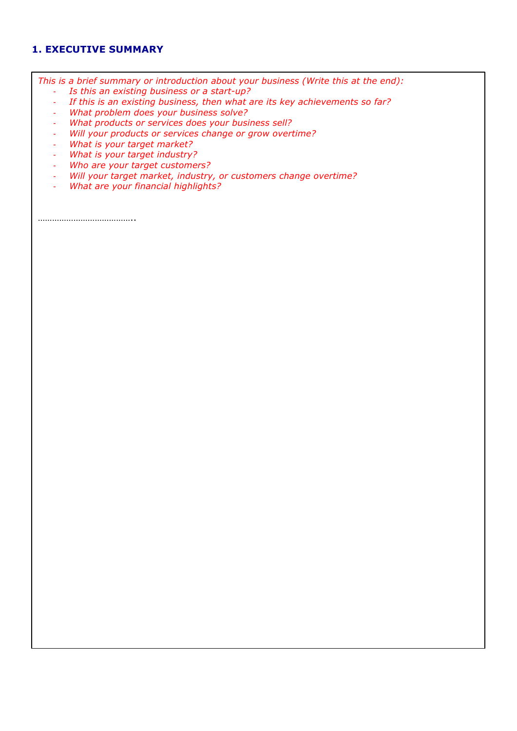#### **1. EXECUTIVE SUMMARY**

*This is a brief summary or introduction about your business (Write this at the end):*

- *Is this an existing business or a start-up?*
- *If this is an existing business, then what are its key achievements so far?*
- *What problem does your business solve?*
- *What products or services does your business sell?*
- *Will your products or services change or grow overtime?*
- *What is your target market?*
- *What is your target industry?*
- *Who are your target customers?*
- *Will your target market, industry, or customers change overtime?*
- *What are your financial highlights?*

…………………………………..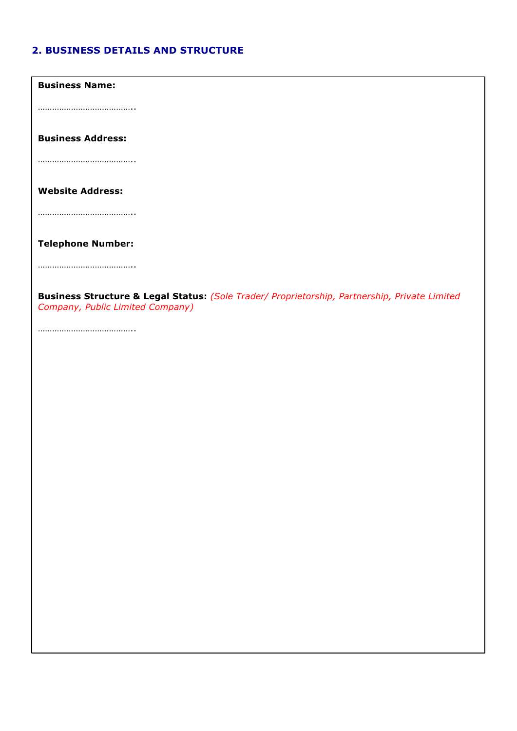### **2. BUSINESS DETAILS AND STRUCTURE**

**Business Name:**

…………………………………..

**Business Address:**

…………………………………..

**Website Address:**

…………………………………..

**Telephone Number:**

…………………………………..

**Business Structure & Legal Status:** *(Sole Trader/ Proprietorship, Partnership, Private Limited Company, Public Limited Company)*

……………………………………………